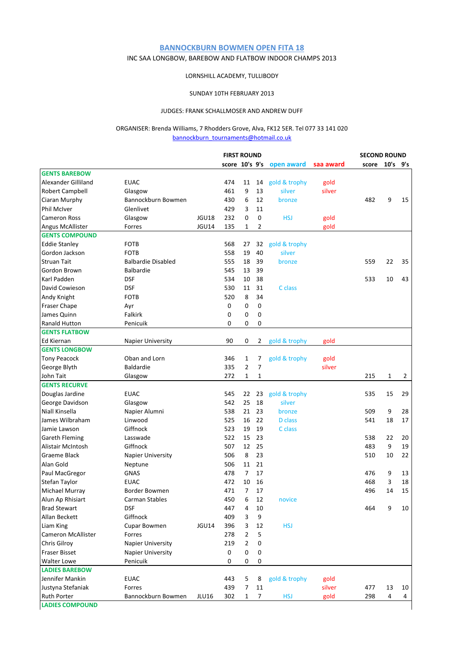# **BANNOCKBURN BOWMEN OPEN FITA 18**

# INC SAA LONGBOW, BAREBOW AND FLATBOW INDOOR CHAMPS 2013

### LORNSHILL ACADEMY, TULLIBODY

### SUNDAY 10TH FEBRUARY 2013

### JUDGES: FRANK SCHALLMOSER AND ANDREW DUFF

### ORGANISER: Brenda Williams, 7 Rhodders Grove, Alva, FK12 5ER. Tel 077 33 141 020 [b](mailto:bannockburn_tournaments@hotmail.co.uk)annockburn\_tournaments@hotmail.co.uk

|                                   |                           |              | <b>FIRST ROUND</b> |                |    |                |           | <b>SECOND ROUND</b> |              |    |
|-----------------------------------|---------------------------|--------------|--------------------|----------------|----|----------------|-----------|---------------------|--------------|----|
|                                   |                           |              | score 10's 9's     |                |    | open award     | saa award | score               | $10's$ $9's$ |    |
| <b>GENTS BAREBOW</b>              |                           |              |                    |                |    |                |           |                     |              |    |
| Alexander Gilliland               | <b>EUAC</b>               |              | 474                | 11             | 14 | gold & trophy  | gold      |                     |              |    |
| Robert Campbell                   | Glasgow                   |              | 461                | 9              | 13 | silver         | silver    |                     |              |    |
| Ciaran Murphy                     | Bannockburn Bowmen        |              | 430                | 6              | 12 | bronze         |           | 482                 | 9            | 15 |
| <b>Phil McIver</b>                | Glenlivet                 |              | 429                | 3              | 11 |                |           |                     |              |    |
| <b>Cameron Ross</b>               | Glasgow                   | JGU18        | 232                | 0              | 0  | <b>HSJ</b>     | gold      |                     |              |    |
| Angus McAllister                  | Forres                    | JGU14        | 135                | 1              | 2  |                | gold      |                     |              |    |
| <b>GENTS COMPOUND</b>             |                           |              |                    |                |    |                |           |                     |              |    |
| <b>Eddie Stanley</b>              | <b>FOTB</b>               |              | 568                | 27             | 32 | gold & trophy  |           |                     |              |    |
| Gordon Jackson                    | <b>FOTB</b>               |              | 558                | 19             | 40 | silver         |           |                     |              |    |
| <b>Struan Tait</b>                | <b>Balbardie Disabled</b> |              | 555                | 18             | 39 | bronze         |           | 559                 | 22           | 35 |
| Gordon Brown                      | <b>Balbardie</b>          |              | 545                | 13             | 39 |                |           |                     |              |    |
| Karl Padden                       | <b>DSF</b>                |              | 534                | 10             | 38 |                |           | 533                 | 10           | 43 |
| David Cowieson                    | <b>DSF</b>                |              | 530                | 11             | 31 | C class        |           |                     |              |    |
| Andy Knight                       | <b>FOTB</b>               |              | 520                | 8              | 34 |                |           |                     |              |    |
| Fraser Chape                      | Ayr                       |              | 0                  | 0              | 0  |                |           |                     |              |    |
| James Quinn                       | Falkirk                   |              | 0                  | 0              | 0  |                |           |                     |              |    |
| <b>Ranald Hutton</b>              | Penicuik                  |              | 0                  | 0              | 0  |                |           |                     |              |    |
| <b>GENTS FLATBOW</b>              |                           |              |                    |                |    |                |           |                     |              |    |
| Ed Kiernan                        | <b>Napier University</b>  |              | 90                 | 0              | 2  | gold & trophy  |           |                     |              |    |
| <b>GENTS LONGBOW</b>              |                           |              |                    |                |    |                | gold      |                     |              |    |
|                                   | Oban and Lorn             |              | 346                |                |    |                |           |                     |              |    |
| <b>Tony Peacock</b>               | <b>Baldardie</b>          |              |                    | 1              | 7  | gold & trophy  | gold      |                     |              |    |
| George Blyth                      |                           |              | 335                | 2              | 7  |                | silver    |                     |              |    |
| John Tait<br><b>GENTS RECURVE</b> | Glasgow                   |              | 272                | 1              | 1  |                |           | 215                 | 1            | 2  |
|                                   |                           |              |                    |                |    |                |           |                     |              |    |
| Douglas Jardine                   | <b>EUAC</b>               |              | 545                | 22             | 23 | gold & trophy  |           | 535                 | 15           | 29 |
| George Davidson                   | Glasgow                   |              | 542                | 25             | 18 | silver         |           |                     |              |    |
| Niall Kinsella                    | Napier Alumni             |              | 538                | 21             | 23 | bronze         |           | 509                 | 9            | 28 |
| James Wilbraham                   | Linwood                   |              | 525                | 16             | 22 | <b>D</b> class |           | 541                 | 18           | 17 |
| Jamie Lawson                      | Giffnock                  |              | 523                | 19             | 19 | C class        |           |                     |              |    |
| Gareth Fleming                    | Lasswade                  |              | 522                | 15             | 23 |                |           | 538                 | 22           | 20 |
| Alistair McIntosh                 | Giffnock                  |              | 507                | 12             | 25 |                |           | 483                 | 9            | 19 |
| Graeme Black                      | <b>Napier University</b>  |              | 506                | 8              | 23 |                |           | 510                 | 10           | 22 |
| Alan Gold                         | Neptune                   |              | 506                | 11             | 21 |                |           |                     |              |    |
| Paul MacGregor                    | <b>GNAS</b>               |              | 478                | $\overline{7}$ | 17 |                |           | 476                 | 9            | 13 |
| Stefan Taylor                     | <b>EUAC</b>               |              | 472                | 10             | 16 |                |           | 468                 | 3            | 18 |
| Michael Murray                    | Border Bowmen             |              | 471                | $\overline{7}$ | 17 |                |           | 496                 | 14           | 15 |
| Alun Ap Rhisiart                  | Carman Stables            |              | 450                | 6              | 12 | novice         |           |                     |              |    |
| <b>Brad Stewart</b>               | <b>DSF</b>                |              | 447                | 4              | 10 |                |           | 464                 | 9            | 10 |
| Allan Beckett                     | Giffnock                  |              | 409                | 3              | 9  |                |           |                     |              |    |
| Liam King                         | Cupar Bowmen              | JGU14        | 396                | 3              | 12 | <b>HSJ</b>     |           |                     |              |    |
| Cameron McAllister                | Forres                    |              | 278                | 2              | 5  |                |           |                     |              |    |
| Chris Gilroy                      | Napier University         |              | 219                | 2              | 0  |                |           |                     |              |    |
| <b>Fraser Bisset</b>              | <b>Napier University</b>  |              | 0                  | 0              | 0  |                |           |                     |              |    |
| <b>Walter Lowe</b>                | Penicuik                  |              | 0                  | 0              | 0  |                |           |                     |              |    |
| <b>LADIES BAREBOW</b>             |                           |              |                    |                |    |                |           |                     |              |    |
| Jennifer Mankin                   | <b>EUAC</b>               |              | 443                | 5              | 8  | gold & trophy  | gold      |                     |              |    |
| Justyna Stefaniak                 | Forres                    |              | 439                | 7              | 11 |                | silver    | 477                 | 13           | 10 |
| <b>Ruth Porter</b>                | Bannockburn Bowmen        | <b>JLU16</b> | 302                | 1              | 7  | <b>HSJ</b>     | gold      | 298                 | 4            | 4  |
| <b>LADIES COMPOUND</b>            |                           |              |                    |                |    |                |           |                     |              |    |